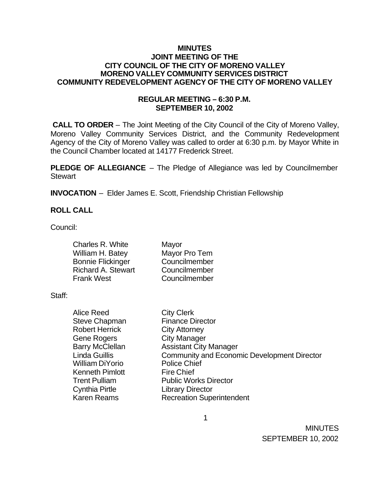#### **MINUTES JOINT MEETING OF THE CITY COUNCIL OF THE CITY OF MORENO VALLEY MORENO VALLEY COMMUNITY SERVICES DISTRICT COMMUNITY REDEVELOPMENT AGENCY OF THE CITY OF MORENO VALLEY**

## **REGULAR MEETING – 6:30 P.M. SEPTEMBER 10, 2002**

 **CALL TO ORDER** – The Joint Meeting of the City Council of the City of Moreno Valley, Moreno Valley Community Services District, and the Community Redevelopment Agency of the City of Moreno Valley was called to order at 6:30 p.m. by Mayor White in the Council Chamber located at 14177 Frederick Street.

**PLEDGE OF ALLEGIANCE** – The Pledge of Allegiance was led by Councilmember **Stewart** 

**INVOCATION** – Elder James E. Scott, Friendship Christian Fellowship

## **ROLL CALL**

Council:

| Charles R. White          | Mayor         |
|---------------------------|---------------|
| William H. Batey          | Mayor Pro Tem |
| <b>Bonnie Flickinger</b>  | Councilmember |
| <b>Richard A. Stewart</b> | Councilmember |
| <b>Frank West</b>         | Councilmember |

Staff:

| Alice Reed             | <b>City Clerk</b>                                  |
|------------------------|----------------------------------------------------|
| <b>Steve Chapman</b>   | <b>Finance Director</b>                            |
| <b>Robert Herrick</b>  | <b>City Attorney</b>                               |
| <b>Gene Rogers</b>     | <b>City Manager</b>                                |
| <b>Barry McClellan</b> | <b>Assistant City Manager</b>                      |
| <b>Linda Guillis</b>   | <b>Community and Economic Development Director</b> |
| <b>William DiYorio</b> | <b>Police Chief</b>                                |
| <b>Kenneth Pimlott</b> | <b>Fire Chief</b>                                  |
| <b>Trent Pulliam</b>   | <b>Public Works Director</b>                       |
| <b>Cynthia Pirtle</b>  | <b>Library Director</b>                            |
| <b>Karen Reams</b>     | <b>Recreation Superintendent</b>                   |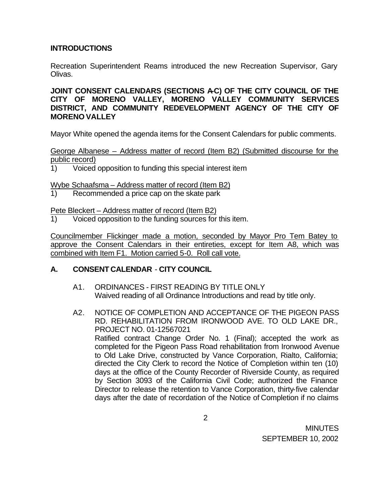## **INTRODUCTIONS**

Recreation Superintendent Reams introduced the new Recreation Supervisor, Gary Olivas.

**JOINT CONSENT CALENDARS (SECTIONS A-C) OF THE CITY COUNCIL OF THE CITY OF MORENO VALLEY, MORENO VALLEY COMMUNITY SERVICES DISTRICT, AND COMMUNITY REDEVELOPMENT AGENCY OF THE CITY OF MORENO VALLEY**

Mayor White opened the agenda items for the Consent Calendars for public comments.

George Albanese – Address matter of record (Item B2) (Submitted discourse for the public record)

1) Voiced opposition to funding this special interest item

Wybe Schaafsma – Address matter of record (Item B2)

1) Recommended a price cap on the skate park

Pete Bleckert – Address matter of record (Item B2)

1) Voiced opposition to the funding sources for this item.

Councilmember Flickinger made a motion, seconded by Mayor Pro Tem Batey to approve the Consent Calendars in their entireties, except for Item A8, which was combined with Item F1. Motion carried 5-0. Roll call vote.

## **A. CONSENT CALENDAR** - **CITY COUNCIL**

- A1. ORDINANCES FIRST READING BY TITLE ONLY Waived reading of all Ordinance Introductions and read by title only.
- A2. NOTICE OF COMPLETION AND ACCEPTANCE OF THE PIGEON PASS RD. REHABILITATION FROM IRONWOOD AVE. TO OLD LAKE DR., PROJECT NO. 01-12567021 Ratified contract Change Order No. 1 (Final); accepted the work as completed for the Pigeon Pass Road rehabilitation from Ironwood Avenue to Old Lake Drive, constructed by Vance Corporation, Rialto, California; directed the City Clerk to record the Notice of Completion within ten (10) days at the office of the County Recorder of Riverside County, as required by Section 3093 of the California Civil Code; authorized the Finance Director to release the retention to Vance Corporation, thirty-five calendar days after the date of recordation of the Notice of Completion if no claims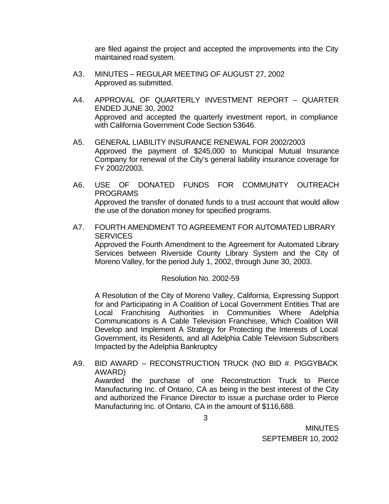are filed against the project and accepted the improvements into the City maintained road system.

- A3. MINUTES REGULAR MEETING OF AUGUST 27, 2002 Approved as submitted.
- A4. APPROVAL OF QUARTERLY INVESTMENT REPORT QUARTER ENDED JUNE 30, 2002 Approved and accepted the quarterly investment report, in compliance with California Government Code Section 53646.
- A5. GENERAL LIABILITY INSURANCE RENEWAL FOR 2002/2003 Approved the payment of \$245,000 to Municipal Mutual Insurance Company for renewal of the City's general liability insurance coverage for FY 2002/2003.
- A6. USE OF DONATED FUNDS FOR COMMUNITY OUTREACH PROGRAMS Approved the transfer of donated funds to a trust account that would allow the use of the donation money for specified programs.
- A7. FOURTH AMENDMENT TO AGREEMENT FOR AUTOMATED LIBRARY **SERVICES** Approved the Fourth Amendment to the Agreement for Automated Library Services between Riverside County Library System and the City of Moreno Valley, for the period July 1, 2002, through June 30, 2003.

## Resolution No. 2002-59

A Resolution of the City of Moreno Valley, California, Expressing Support for and Participating in A Coalition of Local Government Entities That are Local Franchising Authorities in Communities Where Adelphia Communications is A Cable Television Franchisee, Which Coalition Will Develop and Implement A Strategy for Protecting the Interests of Local Government, its Residents, and all Adelphia Cable Television Subscribers Impacted by the Adelphia Bankruptcy

A9. BID AWARD – RECONSTRUCTION TRUCK (NO BID #. PIGGYBACK AWARD) Awarded the purchase of one Reconstruction Truck to Pierce Manufacturing Inc. of Ontario, CA as being in the best interest of the City and authorized the Finance Director to issue a purchase order to Pierce Manufacturing Inc. of Ontario, CA in the amount of \$116,688.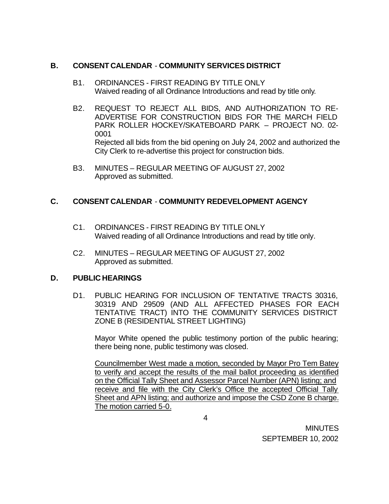## **B. CONSENT CALENDAR** - **COMMUNITY SERVICES DISTRICT**

- B1. ORDINANCES FIRST READING BY TITLE ONLY Waived reading of all Ordinance Introductions and read by title only.
- B2. REQUEST TO REJECT ALL BIDS, AND AUTHORIZATION TO RE-ADVERTISE FOR CONSTRUCTION BIDS FOR THE MARCH FIELD PARK ROLLER HOCKEY/SKATEBOARD PARK – PROJECT NO. 02- 0001 Rejected all bids from the bid opening on July 24, 2002 and authorized the City Clerk to re-advertise this project for construction bids.
- B3. MINUTES REGULAR MEETING OF AUGUST 27, 2002 Approved as submitted.

# **C. CONSENT CALENDAR** - **COMMUNITY REDEVELOPMENT AGENCY**

- C1. ORDINANCES FIRST READING BY TITLE ONLY Waived reading of all Ordinance Introductions and read by title only.
- C2. MINUTES REGULAR MEETING OF AUGUST 27, 2002 Approved as submitted.

## **D. PUBLIC HEARINGS**

D1. PUBLIC HEARING FOR INCLUSION OF TENTATIVE TRACTS 30316, 30319 AND 29509 (AND ALL AFFECTED PHASES FOR EACH TENTATIVE TRACT) INTO THE COMMUNITY SERVICES DISTRICT ZONE B (RESIDENTIAL STREET LIGHTING)

Mayor White opened the public testimony portion of the public hearing; there being none, public testimony was closed.

Councilmember West made a motion, seconded by Mayor Pro Tem Batey to verify and accept the results of the mail ballot proceeding as identified on the Official Tally Sheet and Assessor Parcel Number (APN) listing; and receive and file with the City Clerk's Office the accepted Official Tally Sheet and APN listing; and authorize and impose the CSD Zone B charge. The motion carried 5-0.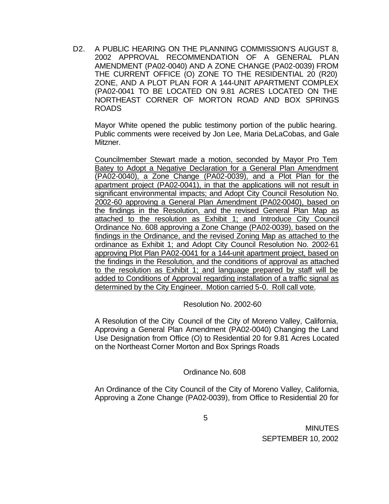D2. A PUBLIC HEARING ON THE PLANNING COMMISSION'S AUGUST 8, 2002 APPROVAL RECOMMENDATION OF A GENERAL PLAN AMENDMENT (PA02-0040) AND A ZONE CHANGE (PA02-0039) FROM THE CURRENT OFFICE (O) ZONE TO THE RESIDENTIAL 20 (R20) ZONE, AND A PLOT PLAN FOR A 144-UNIT APARTMENT COMPLEX (PA02-0041 TO BE LOCATED ON 9.81 ACRES LOCATED ON THE NORTHEAST CORNER OF MORTON ROAD AND BOX SPRINGS ROADS

Mayor White opened the public testimony portion of the public hearing. Public comments were received by Jon Lee, Maria DeLaCobas, and Gale Mitzner.

Councilmember Stewart made a motion, seconded by Mayor Pro Tem Batey to Adopt a Negative Declaration for a General Plan Amendment (PA02-0040), a Zone Change (PA02-0039), and a Plot Plan for the apartment project (PA02-0041), in that the applications will not result in significant environmental impacts; and Adopt City Council Resolution No. 2002-60 approving a General Plan Amendment (PA02-0040), based on the findings in the Resolution, and the revised General Plan Map as attached to the resolution as Exhibit 1; and Introduce City Council Ordinance No. 608 approving a Zone Change (PA02-0039), based on the findings in the Ordinance, and the revised Zoning Map as attached to the ordinance as Exhibit 1; and Adopt City Council Resolution No. 2002-61 approving Plot Plan PA02-0041 for a 144-unit apartment project, based on the findings in the Resolution, and the conditions of approval as attached to the resolution as Exhibit 1; and language prepared by staff will be added to Conditions of Approval regarding installation of a traffic signal as determined by the City Engineer. Motion carried 5-0. Roll call vote.

## Resolution No. 2002-60

A Resolution of the City Council of the City of Moreno Valley, California, Approving a General Plan Amendment (PA02-0040) Changing the Land Use Designation from Office (O) to Residential 20 for 9.81 Acres Located on the Northeast Corner Morton and Box Springs Roads

## Ordinance No. 608

An Ordinance of the City Council of the City of Moreno Valley, California, Approving a Zone Change (PA02-0039), from Office to Residential 20 for

5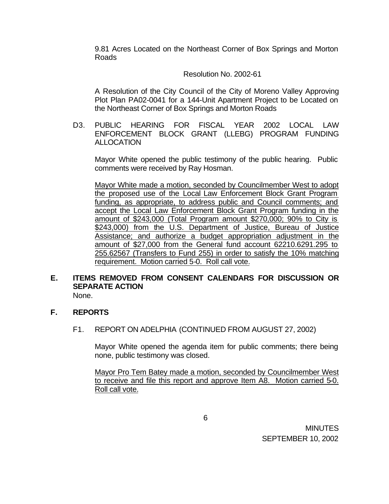9.81 Acres Located on the Northeast Corner of Box Springs and Morton Roads

## Resolution No. 2002-61

A Resolution of the City Council of the City of Moreno Valley Approving Plot Plan PA02-0041 for a 144-Unit Apartment Project to be Located on the Northeast Corner of Box Springs and Morton Roads

D3. PUBLIC HEARING FOR FISCAL YEAR 2002 LOCAL LAW ENFORCEMENT BLOCK GRANT (LLEBG) PROGRAM FUNDING ALLOCATION

Mayor White opened the public testimony of the public hearing. Public comments were received by Ray Hosman.

Mayor White made a motion, seconded by Councilmember West to adopt the proposed use of the Local Law Enforcement Block Grant Program funding, as appropriate, to address public and Council comments; and accept the Local Law Enforcement Block Grant Program funding in the amount of \$243,000 (Total Program amount \$270,000; 90% to City is \$243,000) from the U.S. Department of Justice, Bureau of Justice Assistance; and authorize a budget appropriation adjustment in the amount of \$27,000 from the General fund account 62210.6291.295 to 255.62567 (Transfers to Fund 255) in order to satisfy the 10% matching requirement. Motion carried 5-0. Roll call vote.

# **E. ITEMS REMOVED FROM CONSENT CALENDARS FOR DISCUSSION OR SEPARATE ACTION**

None.

## **F. REPORTS**

F1. REPORT ON ADELPHIA (CONTINUED FROM AUGUST 27, 2002)

Mayor White opened the agenda item for public comments; there being none, public testimony was closed.

Mayor Pro Tem Batey made a motion, seconded by Councilmember West to receive and file this report and approve Item A8. Motion carried 5-0. Roll call vote.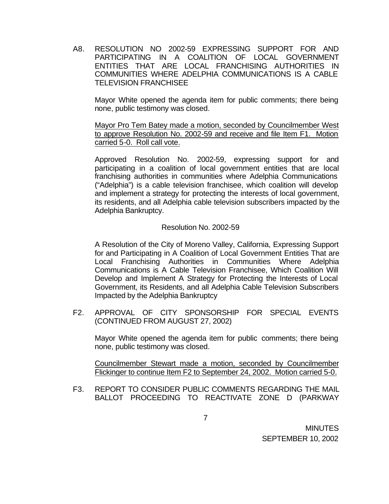A8. RESOLUTION NO 2002-59 EXPRESSING SUPPORT FOR AND PARTICIPATING IN A COALITION OF LOCAL GOVERNMENT ENTITIES THAT ARE LOCAL FRANCHISING AUTHORITIES IN COMMUNITIES WHERE ADELPHIA COMMUNICATIONS IS A CABLE TELEVISION FRANCHISEE

Mayor White opened the agenda item for public comments; there being none, public testimony was closed.

Mayor Pro Tem Batey made a motion, seconded by Councilmember West to approve Resolution No. 2002-59 and receive and file Item F1. Motion carried 5-0. Roll call vote.

Approved Resolution No. 2002-59, expressing support for and participating in a coalition of local government entities that are local franchising authorities in communities where Adelphia Communications ("Adelphia") is a cable television franchisee, which coalition will develop and implement a strategy for protecting the interests of local government, its residents, and all Adelphia cable television subscribers impacted by the Adelphia Bankruptcy.

#### Resolution No. 2002-59

A Resolution of the City of Moreno Valley, California, Expressing Support for and Participating in A Coalition of Local Government Entities That are Local Franchising Authorities in Communities Where Adelphia Communications is A Cable Television Franchisee, Which Coalition Will Develop and Implement A Strategy for Protecting the Interests of Local Government, its Residents, and all Adelphia Cable Television Subscribers Impacted by the Adelphia Bankruptcy

F2. APPROVAL OF CITY SPONSORSHIP FOR SPECIAL EVENTS (CONTINUED FROM AUGUST 27, 2002)

Mayor White opened the agenda item for public comments; there being none, public testimony was closed.

Councilmember Stewart made a motion, seconded by Councilmember Flickinger to continue Item F2 to September 24, 2002. Motion carried 5-0.

F3. REPORT TO CONSIDER PUBLIC COMMENTS REGARDING THE MAIL BALLOT PROCEEDING TO REACTIVATE ZONE D (PARKWAY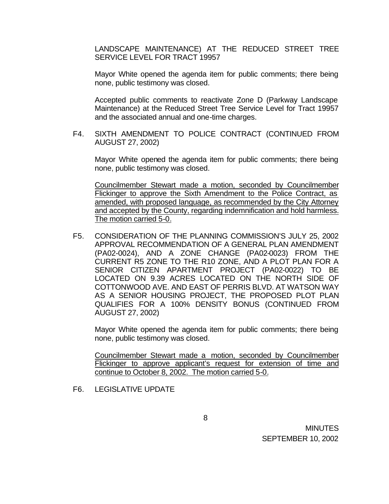LANDSCAPE MAINTENANCE) AT THE REDUCED STREET TREE SERVICE LEVEL FOR TRACT 19957

Mayor White opened the agenda item for public comments; there being none, public testimony was closed.

Accepted public comments to reactivate Zone D (Parkway Landscape Maintenance) at the Reduced Street Tree Service Level for Tract 19957 and the associated annual and one-time charges.

F4. SIXTH AMENDMENT TO POLICE CONTRACT (CONTINUED FROM AUGUST 27, 2002)

Mayor White opened the agenda item for public comments; there being none, public testimony was closed.

Councilmember Stewart made a motion, seconded by Councilmember Flickinger to approve the Sixth Amendment to the Police Contract, as amended, with proposed language, as recommended by the City Attorney and accepted by the County, regarding indemnification and hold harmless. The motion carried 5-0.

F5. CONSIDERATION OF THE PLANNING COMMISSION'S JULY 25, 2002 APPROVAL RECOMMENDATION OF A GENERAL PLAN AMENDMENT (PA02-0024), AND A ZONE CHANGE (PA02-0023) FROM THE CURRENT R5 ZONE TO THE R10 ZONE, AND A PLOT PLAN FOR A SENIOR CITIZEN APARTMENT PROJECT (PA02-0022) TO BE LOCATED ON 9.39 ACRES LOCATED ON THE NORTH SIDE OF COTTONWOOD AVE. AND EAST OF PERRIS BLVD. AT WATSON WAY AS A SENIOR HOUSING PROJECT, THE PROPOSED PLOT PLAN QUALIFIES FOR A 100% DENSITY BONUS (CONTINUED FROM AUGUST 27, 2002)

Mayor White opened the agenda item for public comments; there being none, public testimony was closed.

Councilmember Stewart made a motion, seconded by Councilmember Flickinger to approve applicant's request for extension of time and continue to October 8, 2002. The motion carried 5-0.

F6. LEGISLATIVE UPDATE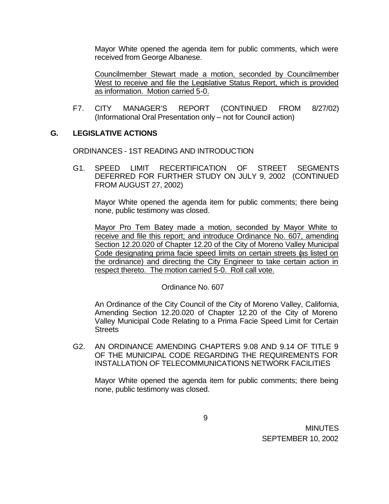Mayor White opened the agenda item for public comments, which were received from George Albanese.

Councilmember Stewart made a motion, seconded by Councilmember West to receive and file the Legislative Status Report, which is provided as information. Motion carried 5-0.

F7. CITY MANAGER'S REPORT (CONTINUED FROM 8/27/02) (Informational Oral Presentation only – not for Council action)

## **G. LEGISLATIVE ACTIONS**

ORDINANCES - 1ST READING AND INTRODUCTION

G1. SPEED LIMIT RECERTIFICATION OF STREET SEGMENTS DEFERRED FOR FURTHER STUDY ON JULY 9, 2002 (CONTINUED FROM AUGUST 27, 2002)

Mayor White opened the agenda item for public comments; there being none, public testimony was closed.

Mayor Pro Tem Batey made a motion, seconded by Mayor White to receive and file this report; and introduce Ordinance No. 607, amending Section 12.20.020 of Chapter 12.20 of the City of Moreno Valley Municipal Code designating prima facie speed limits on certain streets (as listed on the ordinance) and directing the City Engineer to take certain action in respect thereto. The motion carried 5-0. Roll call vote.

## Ordinance No. 607

An Ordinance of the City Council of the City of Moreno Valley, California, Amending Section 12.20.020 of Chapter 12.20 of the City of Moreno Valley Municipal Code Relating to a Prima Facie Speed Limit for Certain **Streets** 

G2. AN ORDINANCE AMENDING CHAPTERS 9.08 AND 9.14 OF TITLE 9 OF THE MUNICIPAL CODE REGARDING THE REQUIREMENTS FOR INSTALLATION OF TELECOMMUNICATIONS NETWORK FACILITIES

Mayor White opened the agenda item for public comments; there being none, public testimony was closed.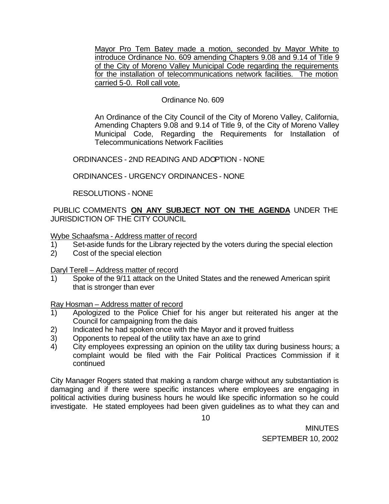Mayor Pro Tem Batey made a motion, seconded by Mayor White to introduce Ordinance No. 609 amending Chapters 9.08 and 9.14 of Title 9 of the City of Moreno Valley Municipal Code regarding the requirements for the installation of telecommunications network facilities. The motion carried 5-0. Roll call vote.

## Ordinance No. 609

An Ordinance of the City Council of the City of Moreno Valley, California, Amending Chapters 9.08 and 9.14 of Title 9, of the City of Moreno Valley Municipal Code, Regarding the Requirements for Installation of Telecommunications Network Facilities

ORDINANCES - 2ND READING AND ADOPTION - NONE

ORDINANCES - URGENCY ORDINANCES - NONE

RESOLUTIONS - NONE

 PUBLIC COMMENTS **ON ANY SUBJECT NOT ON THE AGENDA** UNDER THE JURISDICTION OF THE CITY COUNCIL

Wybe Schaafsma - Address matter of record

- 1) Set-aside funds for the Library rejected by the voters during the special election
- 2) Cost of the special election

Daryl Terell – Address matter of record

1) Spoke of the 9/11 attack on the United States and the renewed American spirit that is stronger than ever

Ray Hosman – Address matter of record

- 1) Apologized to the Police Chief for his anger but reiterated his anger at the Council for campaigning from the dais
- 2) Indicated he had spoken once with the Mayor and it proved fruitless
- 3) Opponents to repeal of the utility tax have an axe to grind
- 4) City employees expressing an opinion on the utility tax during business hours; a complaint would be filed with the Fair Political Practices Commission if it continued

City Manager Rogers stated that making a random charge without any substantiation is damaging and if there were specific instances where employees are engaging in political activities during business hours he would like specific information so he could investigate. He stated employees had been given guidelines as to what they can and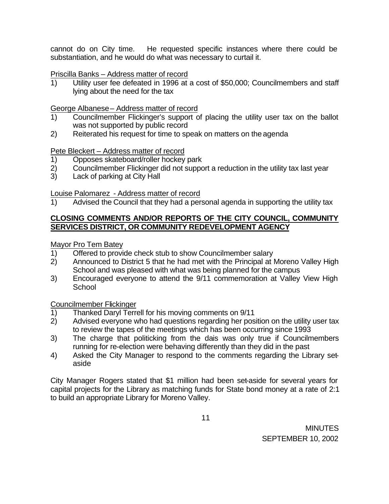cannot do on City time. He requested specific instances where there could be substantiation, and he would do what was necessary to curtail it.

## Priscilla Banks – Address matter of record

1) Utility user fee defeated in 1996 at a cost of \$50,000; Councilmembers and staff lying about the need for the tax

# George Albanese – Address matter of record

- 1) Councilmember Flickinger's support of placing the utility user tax on the ballot was not supported by public record
- 2) Reiterated his request for time to speak on matters on the agenda

# Pete Bleckert – Address matter of record

- 1) Opposes skateboard/roller hockey park<br>2) Councilmember Flickinger did not suppc
- 2) Councilmember Flickinger did not support a reduction in the utility tax last year
- 3) Lack of parking at City Hall

# Louise Palomarez - Address matter of record

1) Advised the Council that they had a personal agenda in supporting the utility tax

## **CLOSING COMMENTS AND/OR REPORTS OF THE CITY COUNCIL, COMMUNITY SERVICES DISTRICT, OR COMMUNITY REDEVELOPMENT AGENCY**

# Mayor Pro Tem Batey

- 1) Offered to provide check stub to show Councilmember salary
- 2) Announced to District 5 that he had met with the Principal at Moreno Valley High School and was pleased with what was being planned for the campus
- 3) Encouraged everyone to attend the 9/11 commemoration at Valley View High **School**

## Councilmember Flickinger

- 1) Thanked Daryl Terrell for his moving comments on 9/11
- 2) Advised everyone who had questions regarding her position on the utility user tax to review the tapes of the meetings which has been occurring since 1993
- 3) The charge that politicking from the dais was only true if Councilmembers running for re-election were behaving differently than they did in the past
- 4) Asked the City Manager to respond to the comments regarding the Library setaside

City Manager Rogers stated that \$1 million had been set-aside for several years for capital projects for the Library as matching funds for State bond money at a rate of 2:1 to build an appropriate Library for Moreno Valley.